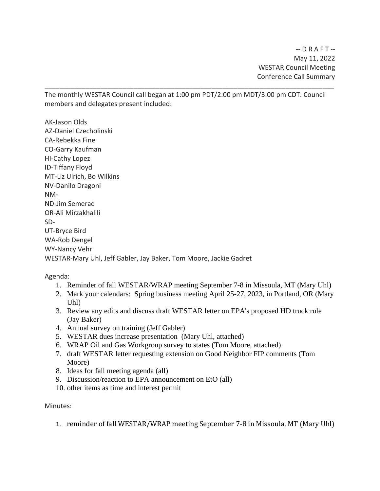$-D$  R A F T  $-$ May 11, 2022 WESTAR Council Meeting Conference Call Summary

The monthly WESTAR Council call began at 1:00 pm PDT/2:00 pm MDT/3:00 pm CDT. Council members and delegates present included:

\_\_\_\_\_\_\_\_\_\_\_\_\_\_\_\_\_\_\_\_\_\_\_\_\_\_\_\_\_\_\_\_\_\_\_\_\_\_\_\_\_\_\_\_\_\_\_\_\_\_\_\_\_\_\_\_\_\_\_\_\_\_\_\_\_\_\_\_\_\_\_\_\_\_\_\_\_\_

AK-Jason Olds AZ-Daniel Czecholinski CA-Rebekka Fine CO-Garry Kaufman HI-Cathy Lopez ID-Tiffany Floyd MT-Liz Ulrich, Bo Wilkins NV-Danilo Dragoni NM-ND-Jim Semerad OR-Ali Mirzakhalili SD-UT-Bryce Bird WA-Rob Dengel WY-Nancy Vehr WESTAR-Mary Uhl, Jeff Gabler, Jay Baker, Tom Moore, Jackie Gadret

Agenda:

- 1. Reminder of fall WESTAR/WRAP meeting September 7-8 in Missoula, MT (Mary Uhl)
- 2. Mark your calendars: Spring business meeting April 25-27, 2023, in Portland, OR (Mary Uhl)
- 3. Review any edits and discuss draft WESTAR letter on EPA's proposed HD truck rule (Jay Baker)
- 4. Annual survey on training (Jeff Gabler)
- 5. WESTAR dues increase presentation (Mary Uhl, attached)
- 6. WRAP Oil and Gas Workgroup survey to states (Tom Moore, attached)
- 7. draft WESTAR letter requesting extension on Good Neighbor FIP comments (Tom Moore)
- 8. Ideas for fall meeting agenda (all)
- 9. Discussion/reaction to EPA announcement on EtO (all)
- 10. other items as time and interest permit

Minutes:

1. reminder of fall WESTAR/WRAP meeting September 7-8 in Missoula, MT (Mary Uhl)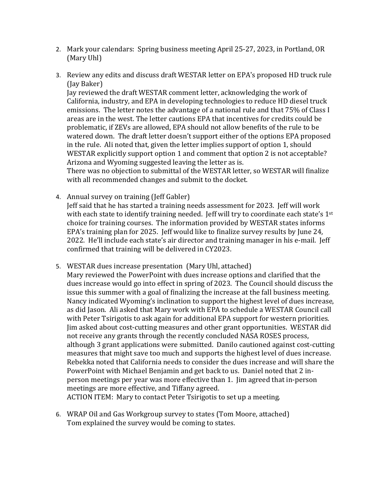- 2. Mark your calendars: Spring business meeting April 25-27, 2023, in Portland, OR (Mary Uhl)
- 3. Review any edits and discuss draft WESTAR letter on EPA's proposed HD truck rule (Jay Baker)

Jay reviewed the draft WESTAR comment letter, acknowledging the work of California, industry, and EPA in developing technologies to reduce HD diesel truck emissions. The letter notes the advantage of a national rule and that 75% of Class I areas are in the west. The letter cautions EPA that incentives for credits could be problematic, if ZEVs are allowed, EPA should not allow benefits of the rule to be watered down. The draft letter doesn't support either of the options EPA proposed in the rule. Ali noted that, given the letter implies support of option 1, should WESTAR explicitly support option 1 and comment that option 2 is not acceptable? Arizona and Wyoming suggested leaving the letter as is.

There was no objection to submittal of the WESTAR letter, so WESTAR will finalize with all recommended changes and submit to the docket.

4. Annual survey on training (Jeff Gabler)

Jeff said that he has started a training needs assessment for 2023. Jeff will work with each state to identify training needed. Jeff will try to coordinate each state's  $1^{st}$ choice for training courses. The information provided by WESTAR states informs EPA's training plan for 2025. Jeff would like to finalize survey results by June 24, 2022. He'll include each state's air director and training manager in his e-mail. Jeff confirmed that training will be delivered in CY2023.

- 5. WESTAR dues increase presentation (Mary Uhl, attached)
	- Mary reviewed the PowerPoint with dues increase options and clarified that the dues increase would go into effect in spring of 2023. The Council should discuss the issue this summer with a goal of finalizing the increase at the fall business meeting. Nancy indicated Wyoming's inclination to support the highest level of dues increase, as did Jason. Ali asked that Mary work with EPA to schedule a WESTAR Council call with Peter Tsirigotis to ask again for additional EPA support for western priorities. Jim asked about cost-cutting measures and other grant opportunities. WESTAR did not receive any grants through the recently concluded NASA ROSES process, although 3 grant applications were submitted. Danilo cautioned against cost-cutting measures that might save too much and supports the highest level of dues increase. Rebekka noted that California needs to consider the dues increase and will share the PowerPoint with Michael Benjamin and get back to us. Daniel noted that 2 inperson meetings per year was more effective than 1. Jim agreed that in-person meetings are more effective, and Tiffany agreed. ACTION ITEM: Mary to contact Peter Tsirigotis to set up a meeting.
- 6. WRAP Oil and Gas Workgroup survey to states (Tom Moore, attached) Tom explained the survey would be coming to states.